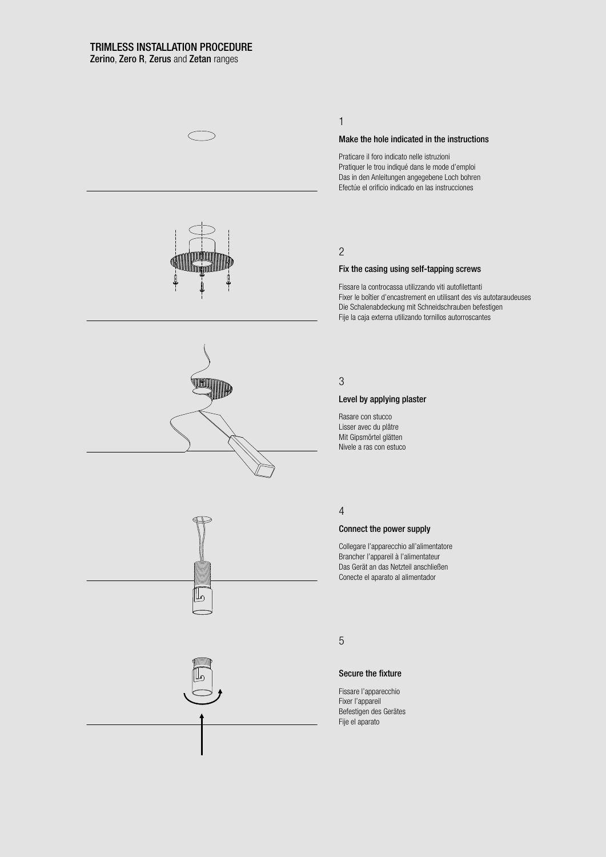## TRIMLESS INSTALLATION PROCEDURE

Zerino, Zero R, Zerus and Zetan ranges



## $\mathbf{1}$

#### Make the hole indicated in the instructions

Praticare il foro indicato nelle istruzioni Pratiquer le trou indiqué dans le mode d'emploi Das in den Anleitungen angegebene Loch bohren Efectúe el orificio indicado en las instrucciones

# $\overline{c}$

### Fix the casing using self-tapping screws

Fissare la controcassa utilizzando viti autofilettanti Fixer le boîtier d'encastrement en utilisant des vis autotaraudeuses Die Schalenabdeckung mit Schneidschrauben befestigen Fije la caja externa utilizando tornillos autorroscantes

# 3

### Level by applying plaster

Rasare con stucco Lisser avec du plâtre Mit Gipsmörtel glätten Nivele a ras con estuco

### $\overline{4}$

### Connect the power supply

Collegare l'apparecchio all'alimentatore Brancher l'appareil à l'alimentateur Das Gerät an das Netzteil anschließen Conecte el aparato al alimentador

## 5

### Secure the fixture

Fissare l'apparecchio Fixer l'appareil Befestigen des Gerätes Fije el aparato